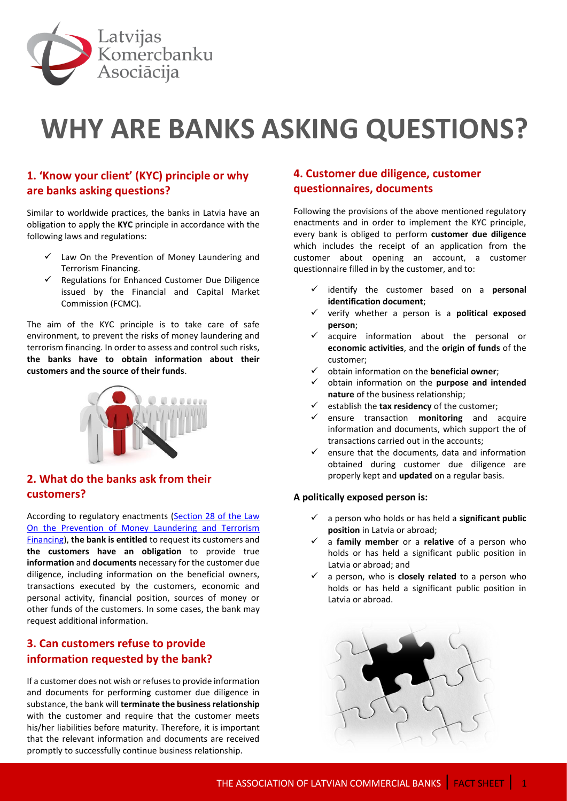

# **WHY ARE BANKS ASKING QUESTIONS?**

# **1. 'Know your client' (KYC) principle or why are banks asking questions?**

Similar to worldwide practices, the banks in Latvia have an obligation to apply the **KYC** principle in accordance with the following laws and regulations:

- $\checkmark$  Law On the Prevention of Money Laundering and Terrorism Financing.
- $\checkmark$  Regulations for Enhanced Customer Due Diligence issued by the Financial and Capital Market Commission (FCMC).

The aim of the KYC principle is to take care of safe environment, to prevent the risks of money laundering and terrorism financing. In order to assess and control such risks, **the banks have to obtain information about their customers and the source of their funds**.



# **2. What do the banks ask from their customers?**

According to regulatory enactments (Section 28 of the Law [On the Prevention of Money Laundering and Terrorism](http://likumi.lv/ta/id/178987-noziedzigi-iegutu-lidzeklu-legalizacijas-un-terorisma-finansesanas-noversanas-likums#p-217812)  [Financing\)](http://likumi.lv/ta/id/178987-noziedzigi-iegutu-lidzeklu-legalizacijas-un-terorisma-finansesanas-noversanas-likums#p-217812), **the bank is entitled** to request its customers and **the customers have an obligation** to provide true **information** and **documents** necessary for the customer due diligence, including information on the beneficial owners, transactions executed by the customers, economic and personal activity, financial position, sources of money or other funds of the customers. In some cases, the bank may request additional information.

## **3. Can customers refuse to provide information requested by the bank?**

If a customer does not wish or refuses to provide information and documents for performing customer due diligence in substance, the bank will **terminate the business relationship** with the customer and require that the customer meets his/her liabilities before maturity. Therefore, it is important that the relevant information and documents are received promptly to successfully continue business relationship.

# **4. Customer due diligence, customer questionnaires, documents**

Following the provisions of the above mentioned regulatory enactments and in order to implement the KYC principle, every bank is obliged to perform **customer due diligence** which includes the receipt of an application from the customer about opening an account, a customer questionnaire filled in by the customer, and to:

- identify the customer based on a **personal identification document**;
- verify whether a person is a **political exposed person**;
- $\checkmark$  acquire information about the personal or **economic activities**, and the **origin of funds** of the customer;
- obtain information on the **beneficial owner**;
- obtain information on the **purpose and intended nature** of the business relationship;
- establish the **tax residency** of the customer;
- $\checkmark$  ensure transaction **monitoring** and acquire information and documents, which support the of transactions carried out in the accounts;
- $\checkmark$  ensure that the documents, data and information obtained during customer due diligence are properly kept and **updated** on a regular basis.

## **A politically exposed person is:**

- a person who holds or has held a **significant public position** in Latvia or abroad;
- a **family member** or a **relative** of a person who holds or has held a significant public position in Latvia or abroad; and
- $\checkmark$  a person, who is **closely related** to a person who holds or has held a significant public position in Latvia or abroad.